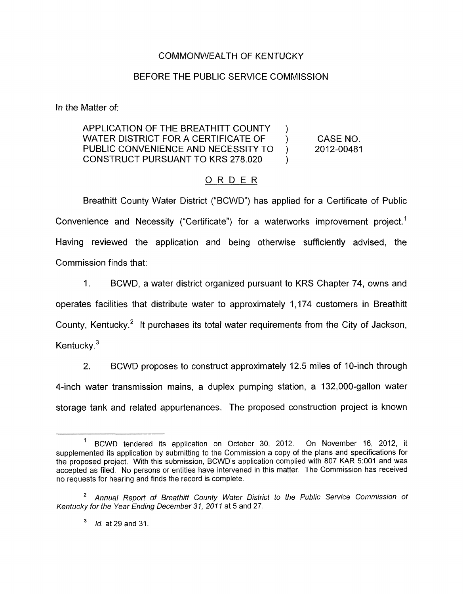## COMMONWEALTH OF KENTUCKY

## BEFORE THE PUBLIC SERVICE COMMISSION

In the Matter of:

## APPLICATION OF THE BREATHITT COUNTY WATER DISTRICT FOR A CERTIFICATE OF  $\qquad$  ) CASE NO. PUBLIC CONVENIENCE AND NECESSITY TO ) 2012-00481 CONSTRUCT PURSUANT TO KRS 278.020 )  $\mathcal{V}$

## ORDER

Breathitt County Water District ("BCWD") has applied for a Certificate of Public Convenience and Necessity ("Certificate") for a waterworks improvement project.' Having reviewed the application and being otherwise sufficiently advised, the Commission finds that:

1. BCWD, a water district organized pursuant to KRS Chapter 74, owns and operates facilities that distribute water to approximately 1,174 customers in Breathitt County, Kentucky.<sup>2</sup> It purchases its total water requirements from the City of Jackson, Kentucky.<sup>3</sup>

2. BCWD proposes to construct approximately 12.5 miles of 10-inch through 4-inch water transmission mains, a duplex pumping station, a 132,000-gallon water storage tank and related appurtenances. The proposed construction project is known

<sup>&#</sup>x27; BCWD tendered its application on October 30, 2012. On November 16, 2012, it supplemented its application by submitting to the Commission a copy of the plans and specifications for the proposed project. With this submission, BCWD's application complied with 807 KAR 51001 and was accepted as filed. No persons or entities have intervened in this matter. The Commission has received no requests for hearing and finds the record is complete.

<sup>&</sup>lt;sup>2</sup> Annual Report of Breathitt County Water District to the Public Service Commission of *Kentucky for the Year Ending December 31, 2011* at 5 and 27.

*Id.* at 29 and 31.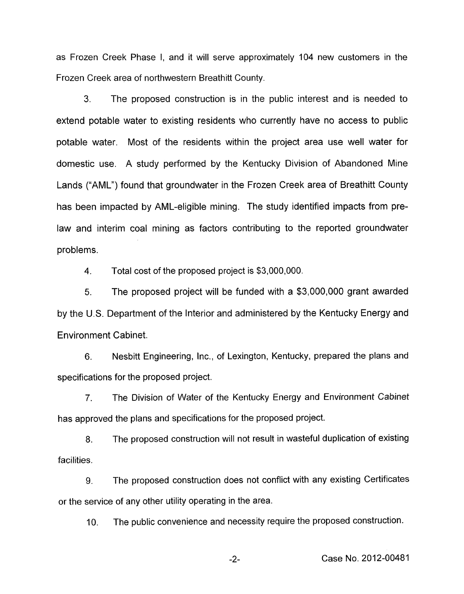as Frozen Creek Phase I, and it will serve approximately 104 new customers in the Frozen Creek area of northwestern Breathitt County.

*3.* The proposed construction is in the public interest and is needed to extend potable water to existing residents who currently have no access to public potable water. Most of the residents within the project area use well water for domestic use. A study performed by the Kentucky Division of Abandoned Mine Lands ("AML") found that groundwater in the Frozen Creek area of Breathitt County has been impacted by AML-eligible mining. The study identified impacts from prelaw and interim coal mining as factors contributing to the reported groundwater problems.

4. Total cost of the proposed project is \$3,000,000.

5. The proposed project will be funded with a \$3,000,000 grant awarded by the U.S. Department of the Interior and administered by the Kentucky Energy and Environment Cabinet.

6. Nesbitt Engineering, Inc., of Lexington, Kentucky, prepared the plans and specifications for the proposed project.

7. The Division of Water of the Kentucky Energy and Environment Cabinet has approved the plans and specifications for the proposed project.

8. facilities. The proposed construction will not result in wasteful duplication of existing

9. The proposed construction does not conflict with any existing Certificates or the service of any other utility operating in the area.

IO. The public convenience and necessity require the proposed construction.

-2- Case No. 2012-00481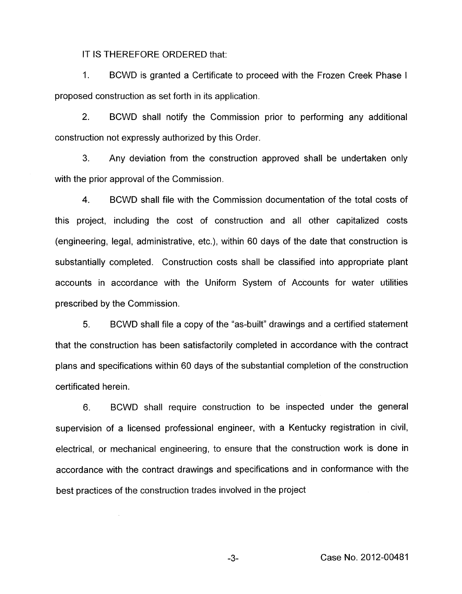IT IS THEREFORE ORDERED that:

1. BCWD is granted a Certificate to proceed with the Frozen Creek Phase I proposed construction as set forth in its application.

2. BCWD shall notify the Commission prior to performing any additional construction not expressly authorized by this Order.

**3.** Any deviation from the construction approved shall be undertaken only with the prior approval of the Commission.

**4.** BCWD shall file with the Commission documentation of the total costs of this project, including the cost of construction and all other capitalized costs (engineering, legal, administrative, etc.), within 60 days of the date that construction is substantially completed. Construction costs shall be classified into appropriate plant accounts in accordance with the Uniform System of Accounts for water utilities prescribed by the Commission.

5. BCWD shall file a copy of the "as-built" drawings and a certified statement that the construction has been satisfactorily completed in accordance with the contract plans and specifications within 60 days of the substantial completion of the construction certificated herein.

6. BCWD shall require construction to be inspected under the general supervision of a licensed professional engineer, with a Kentucky registration in civil, electrical, or mechanical engineering, to ensure that the construction work is done in accordance with the contract drawings and specifications and in conformance with the best practices of the construction trades involved in the project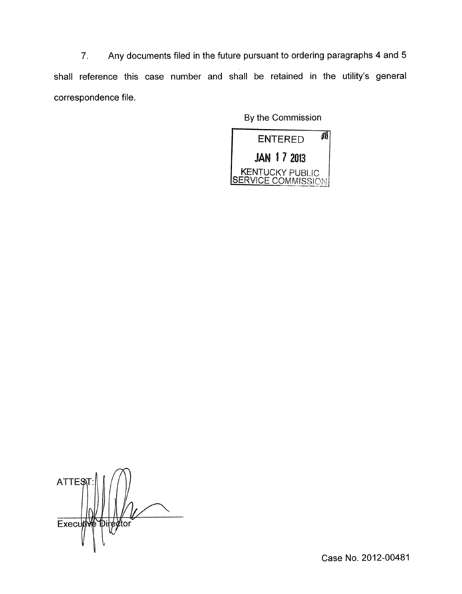7. Any documents filed in the future pursuant to ordering paragraphs 4 and 5 shall reference this case number and shall be retained in the utility's general correspondence file.

By the Commission



**ATTES P**iregtor Executiv

Case No. 2012-00481